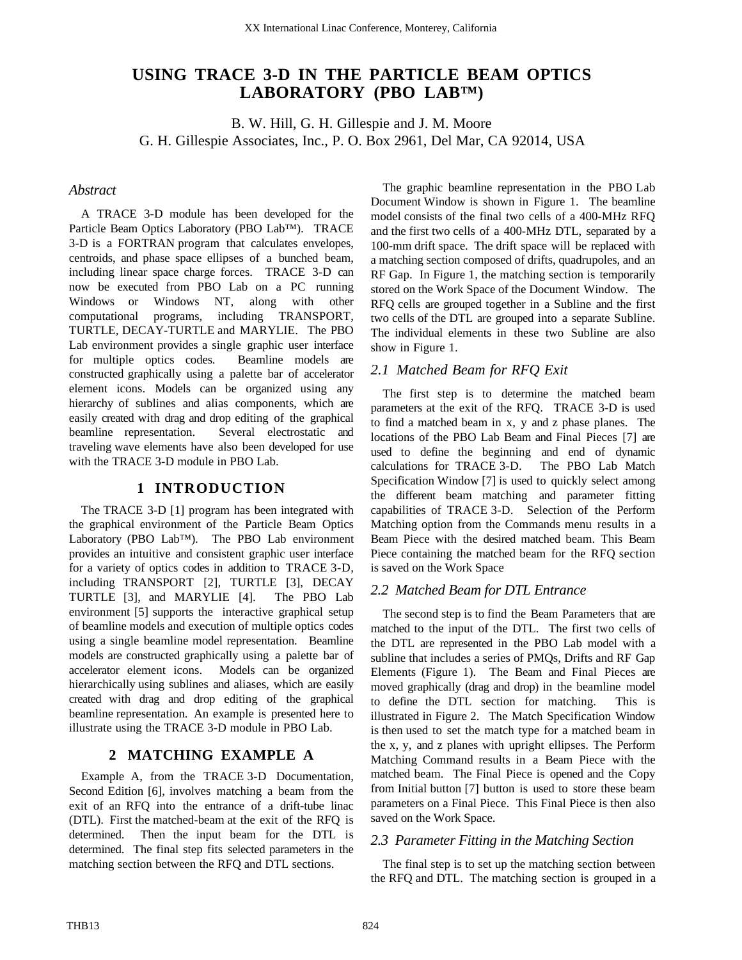# **USING TRACE 3-D IN THE PARTICLE BEAM OPTICS LABORATORY (PBO LAB™)**

B. W. Hill, G. H. Gillespie and J. M. Moore G. H. Gillespie Associates, Inc., P. O. Box 2961, Del Mar, CA 92014, USA

#### *Abstract*

A TRACE 3-D module has been developed for the Particle Beam Optics Laboratory (PBO Lab™). TRACE 3-D is a FORTRAN program that calculates envelopes, centroids, and phase space ellipses of a bunched beam, including linear space charge forces. TRACE 3-D can now be executed from PBO Lab on a PC running Windows or Windows NT, along with other computational programs, including TRANSPORT, TURTLE, DECAY-TURTLE and MARYLIE. The PBO Lab environment provides a single graphic user interface for multiple optics codes. Beamline models are constructed graphically using a palette bar of accelerator element icons. Models can be organized using any hierarchy of sublines and alias components, which are easily created with drag and drop editing of the graphical beamline representation. Several electrostatic and traveling wave elements have also been developed for use with the TRACE 3-D module in PBO Lab.

## **1 INTRODUCTION**

The TRACE 3-D [1] program has been integrated with the graphical environment of the Particle Beam Optics Laboratory (PBO Lab™). The PBO Lab environment provides an intuitive and consistent graphic user interface for a variety of optics codes in addition to TRACE 3-D, including TRANSPORT [2], TURTLE [3], DECAY TURTLE [3], and MARYLIE [4]. The PBO Lab environment [5] supports the interactive graphical setup of beamline models and execution of multiple optics codes using a single beamline model representation. Beamline models are constructed graphically using a palette bar of accelerator element icons. Models can be organized hierarchically using sublines and aliases, which are easily created with drag and drop editing of the graphical beamline representation. An example is presented here to illustrate using the TRACE 3-D module in PBO Lab.

# **2 MATCHING EXAMPLE A**

Example A, from the TRACE 3-D Documentation, Second Edition [6], involves matching a beam from the exit of an RFQ into the entrance of a drift-tube linac (DTL). First the matched-beam at the exit of the RFQ is determined. Then the input beam for the DTL is determined. The final step fits selected parameters in the matching section between the RFQ and DTL sections.

The graphic beamline representation in the PBO Lab Document Window is shown in Figure 1. The beamline model consists of the final two cells of a 400-MHz RFQ and the first two cells of a 400-MHz DTL, separated by a 100-mm drift space. The drift space will be replaced with a matching section composed of drifts, quadrupoles, and an RF Gap. In Figure 1, the matching section is temporarily stored on the Work Space of the Document Window. The RFQ cells are grouped together in a Subline and the first two cells of the DTL are grouped into a separate Subline. The individual elements in these two Subline are also show in Figure 1.

# *2.1 Matched Beam for RFQ Exit*

The first step is to determine the matched beam parameters at the exit of the RFQ. TRACE 3-D is used to find a matched beam in x, y and z phase planes. The locations of the PBO Lab Beam and Final Pieces [7] are used to define the beginning and end of dynamic calculations for TRACE 3-D. The PBO Lab Match Specification Window [7] is used to quickly select among the different beam matching and parameter fitting capabilities of TRACE 3-D. Selection of the Perform Matching option from the Commands menu results in a Beam Piece with the desired matched beam. This Beam Piece containing the matched beam for the RFQ section is saved on the Work Space

## *2.2 Matched Beam for DTL Entrance*

The second step is to find the Beam Parameters that are matched to the input of the DTL. The first two cells of the DTL are represented in the PBO Lab model with a subline that includes a series of PMQs, Drifts and RF Gap Elements (Figure 1). The Beam and Final Pieces are moved graphically (drag and drop) in the beamline model to define the DTL section for matching. This is illustrated in Figure 2. The Match Specification Window is then used to set the match type for a matched beam in the x, y, and z planes with upright ellipses. The Perform Matching Command results in a Beam Piece with the matched beam. The Final Piece is opened and the Copy from Initial button [7] button is used to store these beam parameters on a Final Piece. This Final Piece is then also saved on the Work Space.

## *2.3 Parameter Fitting in the Matching Section*

The final step is to set up the matching section between the RFQ and DTL. The matching section is grouped in a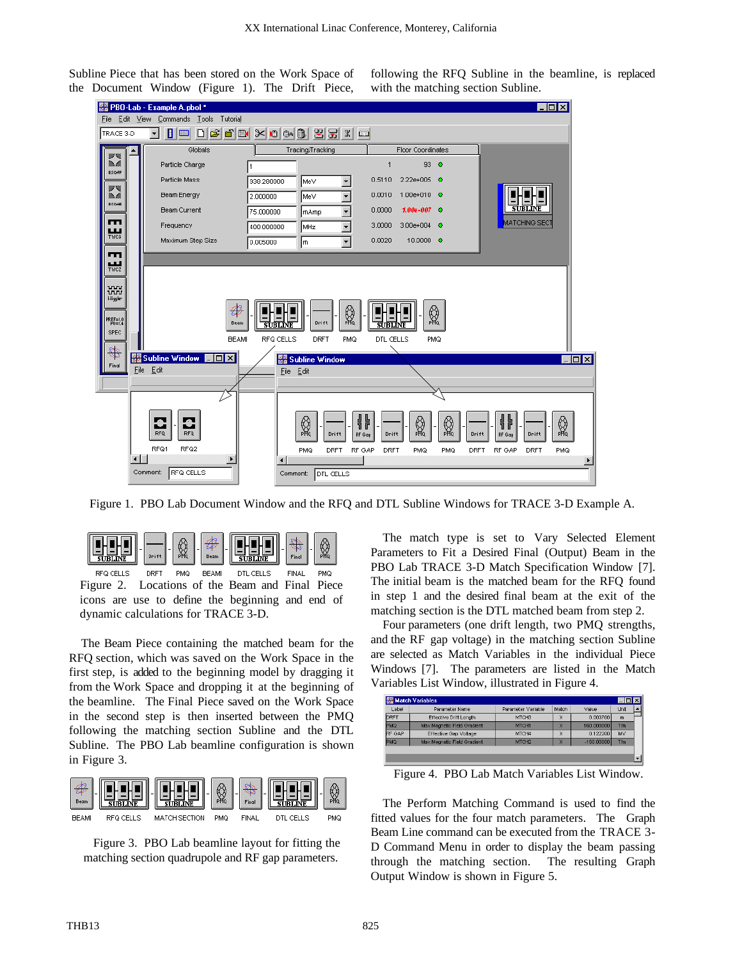Subline Piece that has been stored on the Work Space of the Document Window (Figure 1). The Drift Piece,

following the RFQ Subline in the beamline, is replaced with the matching section Subline.



Figure 1. PBO Lab Document Window and the RFQ and DTL Subline Windows for TRACE 3-D Example A.

| $-1 - 1$  | -    | 14  | -<br>Beam | I<br>7.77                          | Final |     |
|-----------|------|-----|-----------|------------------------------------|-------|-----|
| RFQ CELLS | URF. | PMQ | BEAMI     | The first product from the control | FINAL | PMQ |

Figure 2. Locations of the Beam and Final Piece icons are use to define the beginning and end of dynamic calculations for TRACE 3-D.

The Beam Piece containing the matched beam for the RFQ section, which was saved on the Work Space in the first step, is added to the beginning model by dragging it from the Work Space and dropping it at the beginning of the beamline. The Final Piece saved on the Work Space in the second step is then inserted between the PMQ following the matching section Subline and the DTL Subline. The PBO Lab beamline configuration is shown in Figure 3.



Figure 3. PBO Lab beamline layout for fitting the matching section quadrupole and RF gap parameters.

The match type is set to Vary Selected Element Parameters to Fit a Desired Final (Output) Beam in the PBO Lab TRACE 3-D Match Specification Window [7]. The initial beam is the matched beam for the RFQ found in step 1 and the desired final beam at the exit of the matching section is the DTL matched beam from step 2.

Four parameters (one drift length, two PMQ strengths, and the RF gap voltage) in the matching section Subline are selected as Match Variables in the individual Piece Windows [7]. The parameters are listed in the Match Variables List Window, illustrated in Figure 4.

| Label         | Parameter Name                | Parameter Variable | Match | Value        | Unit |
|---------------|-------------------------------|--------------------|-------|--------------|------|
| DRFT          | <b>Effective Drift Length</b> | MTCH3              | х     | 0.003700     | m    |
| PMQ           | Max Magnetic Field Gradient   | MTCH <sub>1</sub>  | ×     | 160.000000   | T/m  |
| <b>RF GAP</b> | Effective Gap Voltage         | MTCH4              | ×     | 0.122200     | MV   |
| PMQ           | Max Magnetic Field Gradient   | MTCH <sub>2</sub>  | х     | $-160.00000$ | Tim  |

Figure 4. PBO Lab Match Variables List Window.

The Perform Matching Command is used to find the fitted values for the four match parameters. The Graph Beam Line command can be executed from the TRACE 3- D Command Menu in order to display the beam passing through the matching section. The resulting Graph Output Window is shown in Figure 5.